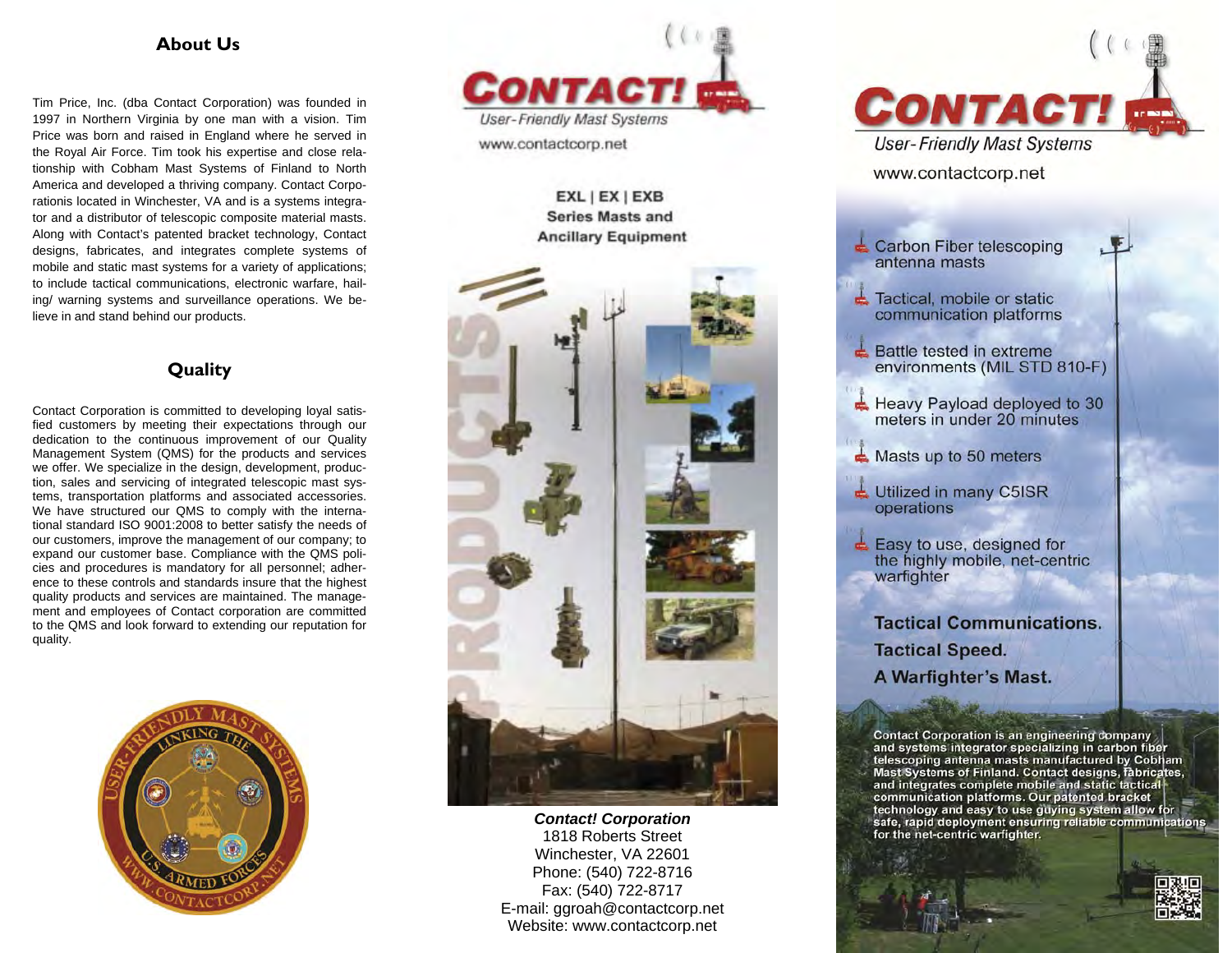## **About Us**

Tim Price, Inc. (dba Contact Corporation) was founded in 1997 in Northern Virginia by one man with a vision. Tim Price was born and raised in England where he served in the Royal Air Force. Tim took his expertise and close relationship with Cobham Mast Systems of Finland to North America and developed a thriving company. Contact Corporationis located in Winchester, VA and is a systems integrator and a distributor of telescopic composite material masts. Along with Contact's patented bracket technology, Contact designs, fabricates, and integrates complete systems of mobile and static mast systems for a variety of applications; to include tactical communications, electronic warfare, hailing/ warning systems and surveillance operations. We believe in and stand behind our products.

## **Quality**

Contact Corporation is committed to developing loyal satisfied customers by meeting their expectations through our dedication to the continuous improvement of our Quality Management System (QMS) for the products and services we offer. We specialize in the design, development, production, sales and servicing of integrated telescopic mast systems, transportation platforms and associated accessories. We have structured our QMS to comply with the international standard ISO 9001:2008 to better satisfy the needs of our customers, improve the management of our company; to expand our customer base. Compliance with the QMS policies and procedures is mandatory for all personnel; adherence to these controls and standards insure that the highest quality products and services are maintained. The management and employees of Contact corporation are committed to the QMS and look forward to extending our reputation for quality.





## EXL | EX | EXB **Series Masts and Ancillary Equipment**



*Contact! Corporation*  1818 Roberts Street Winchester, VA 22601 Phone: (540) 722-8716 Fax: (540) 722-8717 E-mail: ggroah@contactcorp.net Website: www.contactcorp.net



telescoping antenna masts manufactured by Cobham Mast Systems of Finland. Contact designs, fabricates, and integrates complete mobile and static tactical communication platforms. Our patented bracket technology and easy to use guying system allow for safe, rapid deployment ensuring reliable communications for the net-centric warfighter.